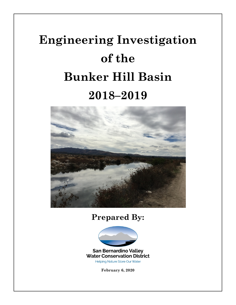# **Engineering Investigation of the Bunker Hill Basin 2018–2019**



# **Prepared By:**



**San Bernardino Valley Water Conservation District Helping Nature Store Our Water** 

**February 6, 2020**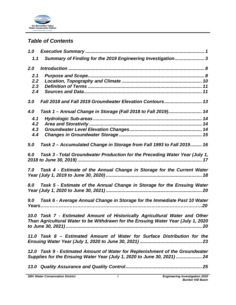

## *Table of Contents*

| 1.0                      |                                                                                                                                                                 |
|--------------------------|-----------------------------------------------------------------------------------------------------------------------------------------------------------------|
| 1.1                      | Summary of Finding for the 2019 Engineering Investigation3                                                                                                      |
| 2.0                      |                                                                                                                                                                 |
| 2.1<br>2.2<br>2.3<br>2.4 |                                                                                                                                                                 |
| 3.0                      | Fall 2018 and Fall 2019 Groundwater Elevation Contours 13                                                                                                       |
| 4.0                      | Task 1 - Annual Change in Storage (Fall 2018 to Fall 2019) 14                                                                                                   |
| 4.1<br>4.2<br>4.3<br>4.4 |                                                                                                                                                                 |
| 5.0                      | Task 2 - Accumulated Change in Storage from Fall 1993 to Fall 2019 16                                                                                           |
| 6.0                      | Task 3 - Total Groundwater Production for the Preceding Water Year (July 1,                                                                                     |
| 7.0                      | Task 4 - Estimate of the Annual Change in Storage for the Current Water                                                                                         |
| 8.0                      | Task 5 - Estimate of the Annual Change in Storage for the Ensuing Water                                                                                         |
| 9.0                      | Task 6 - Average Annual Change in Storage for the Immediate Past 10 Water<br>Years……………………………………………………………………………………………20                                         |
|                          | 10.0 Task 7 - Estimated Amount of Historically Agricultural Water and Other<br>Than Agricultural Water to be Withdrawn for the Ensuing Water Year (July 1, 2020 |
|                          | 11.0 Task 8 – Estimated Amount of Water for Surface Distribution for the                                                                                        |
|                          | 12.0 Task 9 - Estimated Amount of Water for Replenishment of the Groundwater<br>Supplies for the Ensuing Water Year (July 1, 2020 to June 30, 2021)  24         |
|                          |                                                                                                                                                                 |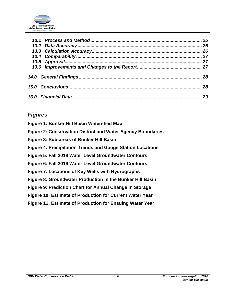

|  | 26 |
|--|----|
|  |    |
|  |    |
|  |    |
|  |    |
|  | 28 |
|  | 29 |

## *Figures*

| Figure 1: Bunker Hill Basin Watershed Map                          |
|--------------------------------------------------------------------|
| <b>Figure 2: Conservation District and Water Agency Boundaries</b> |
| Figure 3: Sub-areas of Bunker Hill Basin                           |
| <b>Figure 4: Precipitation Trends and Gauge Station Locations</b>  |
| Figure 5: Fall 2018 Water Level Groundwater Contours               |
| Figure 6: Fall 2019 Water Level Groundwater Contours               |
| Figure 7: Locations of Key Wells with Hydrographs                  |
| Figure 8: Groundwater Production in the Bunker Hill Basin          |
| Figure 9: Prediction Chart for Annual Change in Storage            |
| <b>Figure 10: Estimate of Production for Current Water Year</b>    |
| <b>Figure 11: Estimate of Production for Ensuing Water Year</b>    |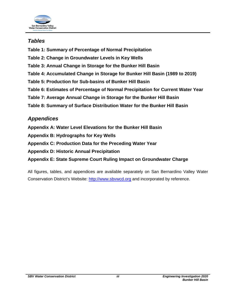

## *Tables*

- **Table 1: Summary of Percentage of Normal Precipitation**
- **Table 2: Change in Groundwater Levels in Key Wells**
- **Table 3: Annual Change in Storage for the Bunker Hill Basin**
- **Table 4: Accumulated Change in Storage for Bunker Hill Basin (1989 to 2019)**
- **Table 5: Production for Sub-basins of Bunker Hill Basin**
- **Table 6: Estimates of Percentage of Normal Precipitation for Current Water Year**
- **Table 7: Average Annual Change in Storage for the Bunker Hill Basin**
- **Table 8: Summary of Surface Distribution Water for the Bunker Hill Basin**

## *Appendices*

- **Appendix A: Water Level Elevations for the Bunker Hill Basin**
- **Appendix B: Hydrographs for Key Wells**
- **Appendix C: Production Data for the Preceding Water Year**
- **Appendix D: Historic Annual Precipitation**
- **Appendix E: State Supreme Court Ruling Impact on Groundwater Charge**

All figures, tables, and appendices are available separately on San Bernardino Valley Water Conservation District's Website: [http://www.sbvwcd.org](http://www.sbvwcd.org/) and incorporated by reference.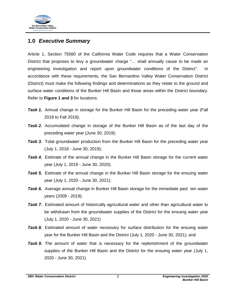

## <span id="page-4-0"></span>**1.0** *Executive Summary*

Article 1, Section 75560 of the California Water Code requires that a Water Conservation District that proposes to levy a groundwater charge "… shall annually cause to be made an engineering investigation and report upon groundwater conditions of the District". In accordance with these requirements, the San Bernardino Valley Water Conservation District (District) must make the following findings and determinations as they relate to the ground and surface water conditions of the Bunker Hill Basin and those areas within the District boundary. Refer to **Figure 1 and 3** for locations.

- **Task 1.** Annual change in storage for the Bunker Hill Basin for the preceding water year (Fall 2018 to Fall 2019);
- *Task 2.* Accumulated change in storage of the Bunker Hill Basin as of the last day of the preceding water year (June 30, 2019);
- **Task 3.** Total groundwater production from the Bunker Hill Basin for the preceding water year (July 1, 2018 - June 30, 2019);
- **Task 4.** Estimate of the annual change in the Bunker Hill Basin storage for the current water year (July 1, 2019 - June 30, 2020);
- **Task 5.** Estimate of the annual change in the Bunker Hill Basin storage for the ensuing water year (July 1, 2020 - June 30, 2021);
- *Task 6.* Average annual change in Bunker Hill Basin storage for the immediate past ten water years (2009 - 2019);
- *Task 7.* Estimated amount of historically agricultural water and other than agricultural water to be withdrawn from the groundwater supplies of the District for the ensuing water year (July 1, 2020 - June 30, 2021)
- *Task 8.* Estimated amount of water necessary for surface distribution for the ensuing water year for the Bunker Hill Basin and the District (July 1, 2020 - June 30, 2021); and
- **Task 9.** The amount of water that is necessary for the replenishment of the groundwater supplies of the Bunker Hill Basin and the District for the ensuing water year (July 1, 2020 - June 30, 2021).

*SBV Water Conservation District 1 Engineering Investigation 2020*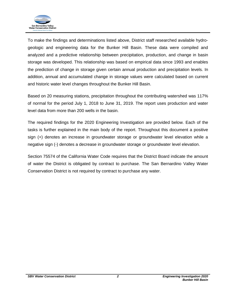

To make the findings and determinations listed above, District staff researched available hydrogeologic and engineering data for the Bunker Hill Basin. These data were compiled and analyzed and a predictive relationship between precipitation, production, and change in basin storage was developed. This relationship was based on empirical data since 1993 and enables the prediction of change in storage given certain annual production and precipitation levels. In addition, annual and accumulated change in storage values were calculated based on current and historic water level changes throughout the Bunker Hill Basin.

Based on 20 measuring stations, precipitation throughout the contributing watershed was 117% of normal for the period July 1, 2018 to June 31, 2019. The report uses production and water level data from more than 200 wells in the basin.

The required findings for the 2020 Engineering Investigation are provided below. Each of the tasks is further explained in the main body of the report. Throughout this document a positive sign (+) denotes an increase in groundwater storage or groundwater level elevation while a negative sign (-) denotes a decrease in groundwater storage or groundwater level elevation.

Section 75574 of the California Water Code requires that the District Board indicate the amount of water the District is obligated by contract to purchase. The San Bernardino Valley Water Conservation District is not required by contract to purchase any water.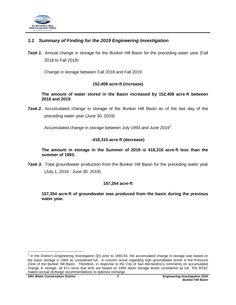

## <span id="page-6-0"></span>*1.1 Summary of Finding for the 2019 Engineering Investigation*

**Task 1.** Annual change in storage for the Bunker Hill Basin for the preceding water year (Fall 2018 to Fall 2019)

Change in storage between Fall 2018 and Fall 2019

#### **152,408 acre-ft (increase)**

**The amount of water stored in the Basin increased by 152,408 acre-ft between 2018 and 2019.**

*Task 2.* Accumulated change in storage of the Bunker Hill Basin as of the last day of the preceding water year (June 30, 2019)

Accumulated change in storage between July [1](#page-6-1)993 and June 2019<sup>1</sup>.

#### **-418,310 acre-ft (decrease)**

**The amount in storage in the Summer of 2019 is 418,310 acre-ft less than the summer of 1993.**

**Task 3.** Total groundwater production from the Bunker Hill Basin for the preceding water year (July 1, 2018 - June 30, 2019)

#### **157,354 acre-ft**

**157,354 acre-ft of groundwater was produced from the basin during the previous water year.**

<span id="page-6-1"></span> $1$  In the District's Engineering Investigation (EI) prior to 1993-94, the accumulated change in storage was based on the basin storage in 1984 as considered full. A concern arose regarding high groundwater levels in the Pressure Zone of the Bunker Hill Basin. Therefore, in response to the City of San Bernardino's comments on accumulated change in storage, all EI's since that time are based on 1993 basin storage levels considered as full. The BTAC makes annual recharge recommendations to optimize recharge.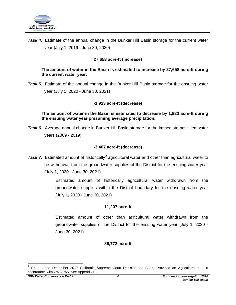

**Task 4.** Estimate of the annual change in the Bunker Hill Basin storage for the current water year (July 1, 2019 - June 30, 2020)

## **27,658 acre-ft (increase)**

#### **The amount of water in the Basin is estimated to increase by 27,658 acre-ft during the current water year.**

**Task 5.** Estimate of the annual change in the Bunker Hill Basin storage for the ensuing water year (July 1, 2020 - June 30, 2021)

### **-1,923 acre-ft (decrease)**

**The amount of water in the Basin is estimated to decrease by 1,923 acre-ft during the ensuing water year presuming average precipitation.**

**Task 6.** Average annual change in Bunker Hill Basin storage for the immediate past ten water years (2009 - 2019)

### **-3,407 acre-ft (decrease)**

**Task 7.** Estimated amount of historically<sup>[2](#page-7-0)</sup> agricultural water and other than agricultural water to be withdrawn from the groundwater supplies of the District for the ensuing water year (July 1, 2020 - June 30, 2021)

> Estimated amount of historically agricultural water withdrawn from the groundwater supplies within the District boundary for the ensuing water year (July 1, 2020 - June 30, 2021)

### **11,207 acre-ft**

Estimated amount of other than agricultural water withdrawn from the groundwater supplies of the District for the ensuing water year (July 1, 2020 - June 30, 2021)

### **86,772 acre-ft**

<span id="page-7-0"></span> <sup>2</sup> Prior to the December 2017 California Supreme Court Decision the Board Provided an Agricultural rate in accordance with CWC 755. See Appendix E.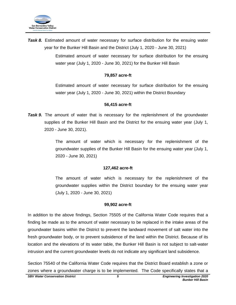

**Task 8.** Estimated amount of water necessary for surface distribution for the ensuing water year for the Bunker Hill Basin and the District (July 1, 2020 - June 30, 2021)

> Estimated amount of water necessary for surface distribution for the ensuing water year (July 1, 2020 - June 30, 2021) for the Bunker Hill Basin

#### **79,857 acre-ft**

Estimated amount of water necessary for surface distribution for the ensuing water year (July 1, 2020 - June 30, 2021) within the District Boundary

#### **56,415 acre-ft**

*Task 9.* The amount of water that is necessary for the replenishment of the groundwater supplies of the Bunker Hill Basin and the District for the ensuing water year (July 1, 2020 - June 30, 2021).

> The amount of water which is necessary for the replenishment of the groundwater supplies of the Bunker Hill Basin for the ensuing water year (July 1, 2020 - June 30, 2021)

#### **127,462 acre-ft**

The amount of water which is necessary for the replenishment of the groundwater supplies within the District boundary for the ensuing water year (July 1, 2020 - June 30, 2021)

#### **99,902 acre-ft**

In addition to the above findings, Section 75505 of the California Water Code requires that a finding be made as to the amount of water necessary to be replaced in the intake areas of the groundwater basins within the District to prevent the landward movement of salt water into the fresh groundwater body, or to prevent subsidence of the land within the District. Because of its location and the elevations of its water table, the Bunker Hill Basin is not subject to salt-water intrusion and the current groundwater levels do not indicate any significant land subsidence.

Section 75540 of the California Water Code requires that the District Board establish a zone or zones where a groundwater charge is to be implemented. The Code specifically states that a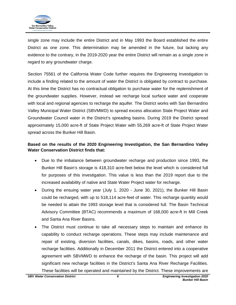

single zone may include the entire District and in May 1993 the Board established the entire District as one zone. This determination may be amended in the future, but lacking any evidence to the contrary, in the 2019-2020 year the entire District will remain as a single zone in regard to any groundwater charge.

Section 75561 of the California Water Code further requires the Engineering Investigation to include a finding related to the amount of water the District is obligated by contract to purchase. At this time the District has no contractual obligation to purchase water for the replenishment of the groundwater supplies. However, instead we recharge local surface water and cooperate with local and regional agencies to recharge the aquifer. The District works with San Bernardino Valley Municipal Water District (SBVMWD) to spread excess allocation State Project Water and Groundwater Council water in the District's spreading basins. During 2019 the District spread approximately 15,000 acre-ft of State Project Water with 55,269 acre-ft of State Project Water spread across the Bunker Hill Basin.

## **Based on the results of the 2020 Engineering Investigation, the San Bernardino Valley Water Conservation District finds that:**

- Due to the imbalance between groundwater recharge and production since 1993, the Bunker Hill Basin's storage is 418,310 acre-feet below the level which is considered full for purposes of this investigation. This value is less than the 2019 report due to the increased availability of native and State Water Project water for recharge.
- During the ensuing water year (July 1, 2020 June 30, 2021), the Bunker Hill Basin could be recharged, with up to 518,114 acre-feet of water. This recharge quantity would be needed to attain the 1993 storage level that is considered full. The Basin Technical Advisory Committee (BTAC) recommends a maximum of 168,000 acre-ft in Mill Creek and Santa Ana River Basins.
- The District must continue to take all necessary steps to maintain and enhance its capability to conduct recharge operations. These steps may include maintenance and repair of existing, diversion facilities, canals, dikes, basins, roads, and other water recharge facilities. Additionally in December 2011 the District entered into a cooperative agreement with SBVMWD to enhance the recharge of the basin. This project will add significant new recharge facilities in the District's Santa Ana River Recharge Facilities. These facilities will be operated and maintained by the District. These improvements are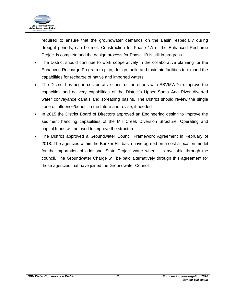

required to ensure that the groundwater demands on the Basin, especially during drought periods, can be met. Construction for Phase 1A of the Enhanced Recharge Project is complete and the design process for Phase 1B is still in progress.

- The District should continue to work cooperatively in the collaborative planning for the Enhanced Recharge Program to plan, design, build and maintain facilities to expand the capabilities for recharge of native and imported waters.
- The District has begun collaborative construction efforts with SBVMWD to improve the capacities and delivery capabilities of the District's Upper Santa Ana River diverted water conveyance canals and spreading basins. The District should review the single zone of influence/benefit in the future and revise, if needed.
- In 2015 the District Board of Directors approved an Engineering design to improve the sediment handling capabilities of the Mill Creek Diversion Structure. Operating and capital funds will be used to improve the structure.
- The District approved a Groundwater Council Framework Agreement in February of 2018. The agencies within the Bunker Hill basin have agreed on a cost allocation model for the importation of additional State Project water when it is available through the council. The Groundwater Charge will be paid alternatively through this agreement for those agencies that have joined the Groundwater Council.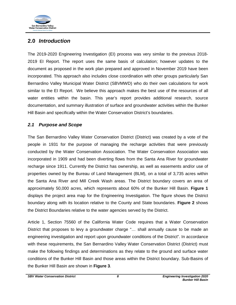

## <span id="page-11-0"></span>**2.0** *Introduction*

The 2019-2020 Engineering Investigation (EI) process was very similar to the previous 2018- 2019 EI Report. The report uses the same basis of calculation; however updates to the document as proposed in the work plan prepared and approved in November 2019 have been incorporated. This approach also includes close coordination with other groups particularly San Bernardino Valley Municipal Water District (SBVMWD) who do their own calculations for work similar to the EI Report. We believe this approach makes the best use of the resources of all water entities within the basin. This year's report provides additional research, source documentation, and summary illustration of surface and groundwater activities within the Bunker Hill Basin and specifically within the Water Conservation District's boundaries.

## <span id="page-11-1"></span>*2.1 Purpose and Scope*

The San Bernardino Valley Water Conservation District (District) was created by a vote of the people in 1931 for the purpose of managing the recharge activities that were previously conducted by the Water Conservation Association. The Water Conservation Association was incorporated in 1909 and had been diverting flows from the Santa Ana River for groundwater recharge since 1911. Currently the District has ownership, as well as easements and/or use of properties owned by the Bureau of Land Management (BLM), on a total of 3,735 acres within the Santa Ana River and Mill Creek Wash areas. The District boundary covers an area of approximately 50,000 acres, which represents about 60% of the Bunker Hill Basin. **Figure 1** displays the project area map for the Engineering Investigation. The figure shows the District boundary along with its location relative to the County and State boundaries. **Figure 2** shows the District Boundaries relative to the water agencies served by the District.

Article 1, Section 75560 of the California Water Code requires that a Water Conservation District that proposes to levy a groundwater charge "… shall annually cause to be made an engineering investigation and report upon groundwater conditions of the District". In accordance with these requirements, the San Bernardino Valley Water Conservation District (District) must make the following findings and determinations as they relate to the ground and surface water conditions of the Bunker Hill Basin and those areas within the District boundary. Sub-Basins of the Bunker Hill Basin are shown in **Figure 3**.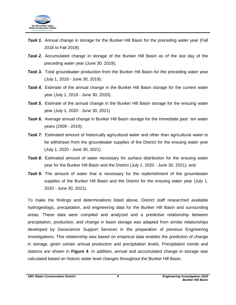

- **Task 1.** Annual change in storage for the Bunker Hill Basin for the preceding water year (Fall 2018 to Fall 2019);
- *Task 2.* Accumulated change in storage of the Bunker Hill Basin as of the last day of the preceding water year (June 30, 2019);
- **Task 3.** Total groundwater production from the Bunker Hill Basin for the preceding water year (July 1, 2018 - June 30, 2019);
- **Task 4.** Estimate of the annual change in the Bunker Hill Basin storage for the current water year (July 1, 2019 - June 30, 2020);
- **Task 5.** Estimate of the annual change in the Bunker Hill Basin storage for the ensuing water year (July 1, 2020 - June 30, 2021)
- **Task 6.** Average annual change in Bunker Hill Basin storage for the immediate past ten water years (2009 - 2019);
- **Task 7.** Estimated amount of historically agricultural water and other than agricultural water to be withdrawn from the groundwater supplies of the District for the ensuing water year (July 1, 2020 - June 30, 2021)
- **Task 8.** Estimated amount of water necessary for surface distribution for the ensuing water year for the Bunker Hill Basin and the District (July 1, 2020 - June 30, 2021); and
- **Task 9.** The amount of water that is necessary for the replenishment of the groundwater supplies of the Bunker Hill Basin and the District for the ensuing water year (July 1, 2020 - June 30, 2021).

To make the findings and determinations listed above, District staff researched available hydrogeologic, precipitation, and engineering data for the Bunker Hill Basin and surrounding areas. These data were compiled and analyzed and a predictive relationship between precipitation, production, and change in basin storage was adapted from similar relationships developed by Geoscience Support Services in the preparation of previous Engineering Investigations. This relationship was based on empirical data enables the prediction of change in storage, given certain annual production and precipitation levels. Precipitation trends and stations are shown in **Figure 4**. In addition, annual and accumulated change in storage was calculated based on historic water level changes throughout the Bunker Hill Basin.

*SBV Water Conservation District 9 Engineering Investigation 2020*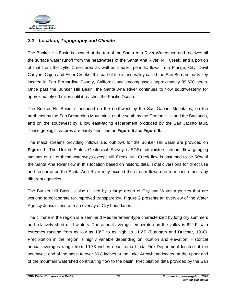

## <span id="page-13-0"></span>*2.2 Location, Topography and Climate*

The Bunker Hill Basin is located at the top of the Santa Ana River Watershed and receives all the surface water runoff from the headwaters of the Santa Ana River, Mill Creek, and a portion of that from the Lytle Creek area as well as smaller periodic flows from Plunge, City, Devil Canyon, Cajon and Elder Creeks. It is part of the inland valley called the San Bernardino Valley located in San Bernardino County, California and encompasses approximately 89,600 acres. Once past the Bunker Hill Basin, the Santa Ana River continues to flow southwesterly for approximately 60 miles until it reaches the Pacific Ocean.

The Bunker Hill Basin is bounded on the northwest by the San Gabriel Mountains, on the northeast by the San Bernardino Mountains, on the south by the Crafton Hills and the Badlands, and on the southwest by a low east-facing escarpment produced by the San Jacinto fault. These geologic features are easily identified on **Figure 5** and **Figure 6**.

The major streams providing inflows and outflows for the Bunker Hill Basin are provided on **Figure 1**. The United States Geological Survey (USGS) administers stream flow gauging stations on all of these waterways except Mill Creek. Mill Creek flow is assumed to be 56% of the Santa Ana River flow in this location based on historic data. Total diversions for direct use and recharge on the Santa Ana River may exceed the stream flows due to measurements by different agencies.

The Bunker Hill Basin is also utilized by a large group of City and Water Agencies that are working to collaborate for improved transparency. **Figure 2** presents an overview of the Water Agency Jurisdictions with an overlay of City boundaries.

The climate in the region is a semi-arid Mediterranean-type characterized by long dry summers and relatively short mild winters. The annual average temperature in the valley is  $62^{\circ}$  F, with extremes ranging from as low as 18°F to as high as 116°F (Burnham and Dutcher, 1960). Precipitation in the region is highly variable depending on location and elevation. Historical annual averages range from 10.73 inches near Loma Linda Fire Department located at the southwest end of the basin to over 36.8 inches at the Lake Arrowhead located at the upper end of the mountain watershed contributing flow to the basin. Precipitation data provided by the San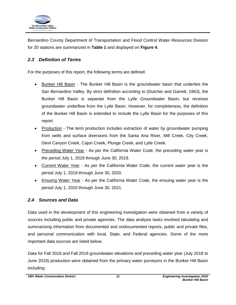

Bernardino County Department of Transportation and Flood Control Water Resources Division for 20 stations are summarized in **Table 1** and displayed on **Figure 4**.

## <span id="page-14-0"></span>*2.3 Definition of Terms*

For the purposes of this report, the following terms are defined:

- **Bunker Hill Basin The Bunker Hill Basin is the groundwater basin that underlies the** San Bernardino Valley. By strict definition according to (Dutcher and Garrett, 1963), the Bunker Hill Basin is separate from the Lytle Groundwater Basin, but receives groundwater underflow from the Lytle Basin. However, for completeness, the definition of the Bunker Hill Basin is extended to include the Lytle Basin for the purposes of this report.
- Production The term production includes extraction of water by groundwater pumping from wells and surface diversions from the Santa Ana River, Mill Creek, City Creek, Devil Canyon Creek, Cajon Creek, Plunge Creek, and Lytle Creek.
- Preceding Water Year As per the California Water Code, the preceding water year is the period July 1, 2018 through June 30, 2019.
- Current Water Year As per the California Water Code, the current water year is the period July 1, 2019 through June 30, 2020.
- Ensuing Water Year As per the California Water Code, the ensuing water year is the period July 1, 2020 through June 30, 2021.

## <span id="page-14-1"></span>*2.4 Sources and Data*

Data used in the development of this engineering investigation were obtained from a variety of sources including public and private agencies. The data analysis tasks involved tabulating and summarizing information from documented and undocumented reports, public and private files, and personal communication with local, State, and Federal agencies. Some of the more important data sources are listed below.

Data for Fall 2018 and Fall 2019 groundwater elevations and preceding water year (July 2018 to June 2019) production were obtained from the primary water purveyors in the Bunker Hill Basin including: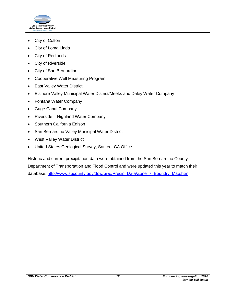

- City of Colton
- City of Loma Linda
- City of Redlands
- City of Riverside
- City of San Bernardino
- Cooperative Well Measuring Program
- East Valley Water District
- Elsinore Valley Municipal Water District/Meeks and Daley Water Company
- Fontana Water Company
- Gage Canal Company
- Riverside Highland Water Company
- Southern California Edison
- San Bernardino Valley Municipal Water District
- West Valley Water District
- United States Geological Survey, Santee, CA Office

Historic and current precipitation data were obtained from the San Bernardino County Department of Transportation and Flood Control and were updated this year to match their database: [http://www.sbcounty.gov/dpw/pwg/Precip\\_Data/Zone\\_7\\_Boundry\\_Map.htm](http://www.sbcounty.gov/dpw/pwg/Precip_Data/Zone_7_Boundry_Map.htm)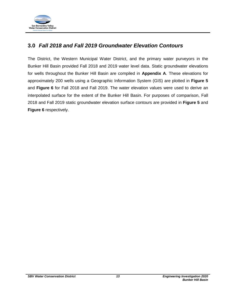

## <span id="page-16-0"></span>**3.0** *Fall 2018 and Fall 2019 Groundwater Elevation Contours*

The District, the Western Municipal Water District, and the primary water purveyors in the Bunker Hill Basin provided Fall 2018 and 2019 water level data. Static groundwater elevations for wells throughout the Bunker Hill Basin are compiled in **Appendix A**. These elevations for approximately 200 wells using a Geographic Information System (GIS) are plotted in **Figure 5** and **Figure 6** for Fall 2018 and Fall 2019. The water elevation values were used to derive an interpolated surface for the extent of the Bunker Hill Basin. For purposes of comparison, Fall 2018 and Fall 2019 static groundwater elevation surface contours are provided in **Figure 5** and **Figure 6** respectively.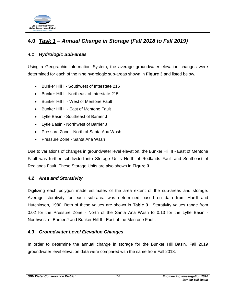

## <span id="page-17-0"></span>**4.0** *Task 1 – Annual Change in Storage (Fall 2018 to Fall 2019)*

## <span id="page-17-1"></span>*4.1 Hydrologic Sub-areas*

Using a Geographic Information System, the average groundwater elevation changes were determined for each of the nine hydrologic sub-areas shown in **Figure 3** and listed below.

- Bunker Hill I Southwest of Interstate 215
- Bunker Hill I Northeast of Interstate 215
- Bunker Hill II West of Mentone Fault
- Bunker Hill II East of Mentone Fault
- Lytle Basin Southeast of Barrier J
- Lytle Basin Northwest of Barrier J
- Pressure Zone North of Santa Ana Wash
- Pressure Zone Santa Ana Wash

Due to variations of changes in groundwater level elevation, the Bunker Hill II - East of Mentone Fault was further subdivided into Storage Units North of Redlands Fault and Southeast of Redlands Fault. These Storage Units are also shown in **Figure 3**.

### <span id="page-17-2"></span>*4.2 Area and Storativity*

Digitizing each polygon made estimates of the area extent of the sub-areas and storage. Average storativity for each sub-area was determined based on data from Hardt and Hutchinson, 1980. Both of these values are shown in **Table 3**. Storativity values range from 0.02 for the Pressure Zone - North of the Santa Ana Wash to 0.13 for the Lytle Basin - Northwest of Barrier J and Bunker Hill II - East of the Mentone Fault.

## <span id="page-17-3"></span>*4.3 Groundwater Level Elevation Changes*

In order to determine the annual change in storage for the Bunker Hill Basin, Fall 2019 groundwater level elevation data were compared with the same from Fall 2018.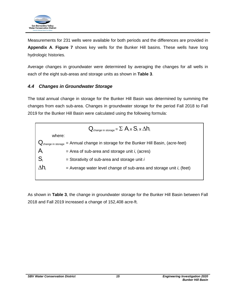

Measurements for 231 wells were available for both periods and the differences are provided in **Appendix A**. **Figure 7** shows key wells for the Bunker Hill basins. These wells have long hydrologic histories.

Average changes in groundwater were determined by averaging the changes for all wells in each of the eight sub-areas and storage units as shown in **Table 3**.

## <span id="page-18-0"></span>*4.4 Changes in Groundwater Storage*

The total annual change in storage for the Bunker Hill Basin was determined by summing the changes from each sub-area. Changes in groundwater storage for the period Fall 2018 to Fall 2019 for the Bunker Hill Basin were calculated using the following formula:



As shown in **Table 3**, the change in groundwater storage for the Bunker Hill Basin between Fall 2018 and Fall 2019 increased a change of 152,408 acre-ft.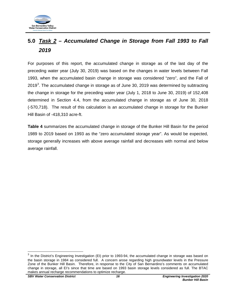

## <span id="page-19-0"></span>**5.0** *Task 2 – Accumulated Change in Storage from Fall 1993 to Fall 2019*

For purposes of this report, the accumulated change in storage as of the last day of the preceding water year (July 30, 2019) was based on the changes in water levels between Fall 1993, when the accumulated basin change in storage was considered "zero", and the Fall of 2019<sup>[3](#page-19-1)</sup>. The accumulated change in storage as of June 30, 2019 was determined by subtracting the change in storage for the preceding water year (July 1, 2018 to June 30, 2019) of 152,408 determined in Section 4.4, from the accumulated change in storage as of June 30, 2018 (-570,718). The result of this calculation is an accumulated change in storage for the Bunker Hill Basin of -418,310 acre-ft.

**Table 4** summarizes the accumulated change in storage of the Bunker Hill Basin for the period 1989 to 2019 based on 1993 as the "zero accumulated storage year". As would be expected, storage generally increases with above average rainfall and decreases with normal and below average rainfall.

<span id="page-19-1"></span> $3$  In the District's Engineering Investigation (EI) prior to 1993-94, the accumulated change in storage was based on the basin storage in 1984 as considered full. A concern arose regarding high groundwater levels in the Pressure Zone of the Bunker Hill Basin. Therefore, in response to the City of San Bernardino's comments on accumulated change in storage, all EI's since that time are based on 1993 basin storage levels considered as full. The BTAC makes annual recharge recommendations to optimize recharge.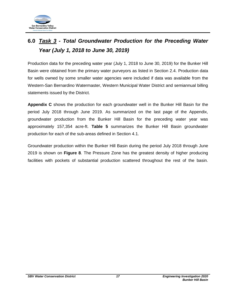

# <span id="page-20-0"></span>**6.0** *Task 3 - Total Groundwater Production for the Preceding Water Year (July 1, 2018 to June 30, 2019)*

Production data for the preceding water year (July 1, 2018 to June 30, 2019) for the Bunker Hill Basin were obtained from the primary water purveyors as listed in Section 2.4. Production data for wells owned by some smaller water agencies were included if data was available from the Western-San Bernardino Watermaster, Western Municipal Water District and semiannual billing statements issued by the District.

**Appendix C** shows the production for each groundwater well in the Bunker Hill Basin for the period July 2018 through June 2019. As summarized on the last page of the Appendix, groundwater production from the Bunker Hill Basin for the preceding water year was approximately 157,354 acre-ft. **Table 5** summarizes the Bunker Hill Basin groundwater production for each of the sub-areas defined in Section 4.1.

Groundwater production within the Bunker Hill Basin during the period July 2018 through June 2019 is shown on **Figure 8**. The Pressure Zone has the greatest density of higher producing facilities with pockets of substantial production scattered throughout the rest of the basin.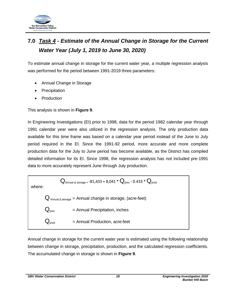

# <span id="page-21-0"></span>**7.0** *Task 4 - Estimate of the Annual Change in Storage for the Current Water Year (July 1, 2019 to June 30, 2020)*

To estimate annual change in storage for the current water year, a multiple regression analysis was performed for the period between 1991-2019 three parameters:

- Annual Change in Storage
- **Precipitation**
- **Production**

This analysis is shown in **Figure 9**.

In Engineering Investigations (EI) prior to 1998, data for the period 1982 calendar year through 1991 calendar year were also utilized in the regression analysis. The only production data available for this time frame was based on a calendar year period instead of the June to July period required in the EI. Since the 1991-92 period, more accurate and more complete production data for the July to June period has become available, as the District has compiled detailed information for its EI. Since 1998, the regression analysis has not included pre-1991 data to more accurately represent June through July production.

 $Q_{\text{Annual A storage}} = 81,433 + 8,041 * Q_{\text{prec}} - 0.433 * Q_{\text{prod}}$ where:  $Q_{\text{Annual A storage}} =$  Annual change in storage, (acre-feet)  $Q_{\text{prec}}$  = Annual Precipitation, inches  $=$  Annual Production, acre-feet

Annual change in storage for the current water year is estimated using the following relationship between change in storage, precipitation, production, and the calculated regression coefficients. The accumulated change in storage is shown in **Figure 9**.

*SBV Water Conservation District 18 Engineering Investigation 2020*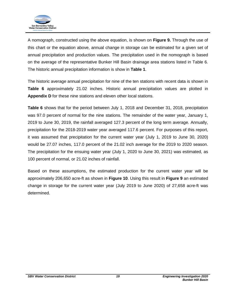

A nomograph, constructed using the above equation, is shown on **Figure 9.** Through the use of this chart or the equation above, annual change in storage can be estimated for a given set of annual precipitation and production values. The precipitation used in the nomograph is based on the average of the representative Bunker Hill Basin drainage area stations listed in Table 6. The historic annual precipitation information is show in **Table 1**.

The historic average annual precipitation for nine of the ten stations with recent data is shown in **Table 6** approximately 21.02 inches. Historic annual precipitation values are plotted in **Appendix D** for these nine stations and eleven other local stations.

**Table 6** shows that for the period between July 1, 2018 and December 31, 2018, precipitation was 97.0 percent of normal for the nine stations. The remainder of the water year, January 1, 2019 to June 30, 2019, the rainfall averaged 127.3 percent of the long term average. Annually, precipitation for the 2018-2019 water year averaged 117.6 percent. For purposes of this report, it was assumed that precipitation for the current water year (July 1, 2019 to June 30, 2020) would be 27.07 inches, 117.0 percent of the 21.02 inch average for the 2019 to 2020 season. The precipitation for the ensuing water year (July 1, 2020 to June 30, 2021) was estimated, as 100 percent of normal, or 21.02 inches of rainfall.

Based on these assumptions, the estimated production for the current water year will be approximately 206,650 acre-ft as shown in **Figure 10**. Using this result in **Figure 9** an estimated change in storage for the current water year (July 2019 to June 2020) of 27,658 acre-ft was determined.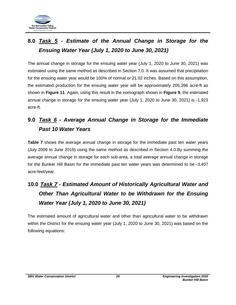

# <span id="page-23-0"></span>**8.0** *Task 5 - Estimate of the Annual Change in Storage for the Ensuing Water Year (July 1, 2020 to June 30, 2021)*

The annual change in storage for the ensuing water year (July 1, 2020 to June 30, 2021) was estimated using the same method as described in Section 7.0. It was assumed that precipitation for the ensuing water year would be 100% of normal or 21.02 inches. Based on this assumption, the estimated production for the ensuing water year will be approximately 205,396 acre-ft as shown in **Figure 11**. Again, using this result in the nomograph shown in **Figure 9**, the estimated annual change in storage for the ensuing water year (July 1, 2020 to June 30, 2021) is -1,923 acre-ft.

# <span id="page-23-1"></span>**9.0** *Task 6 - Average Annual Change in Storage for the Immediate Past 10 Water Years*

**Table 7** shows the average annual change in storage for the immediate past ten water years (July 2009 to June 2019) using the same method as described in Section 4.0.By summing the average annual change in storage for each sub-area, a total average annual change in storage for the Bunker Hill Basin for the immediate past ten water years was determined to be -3,407 acre-feet/year.

# <span id="page-23-2"></span>**10.0** *Task 7 - Estimated Amount of Historically Agricultural Water and Other Than Agricultural Water to be Withdrawn for the Ensuing Water Year (July 1, 2020 to June 30, 2021)*

The estimated amount of agricultural water and other than agricultural water to be withdrawn within the District for the ensuing water year (July 1, 2020 to June 30, 2021) was based on the following equations: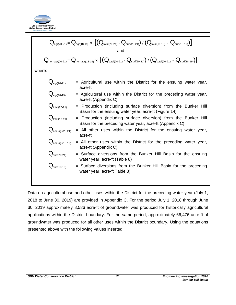

$$
Q_{agr(20-21)} = Q_{agr(18-19)} \times \left[ (Q_{total(20-21)} - Q_{suff(20-21)}) / (Q_{total(18-19)} - Q_{suff(18-19)}) \right]
$$
\nand\n
$$
Q_{non-agr(20-21)} = Q_{non-agr(18-19)} \times \left[ (Q_{total(20-21)} - Q_{suff(20-21)}) / (Q_{total(20-21)} - Q_{suff(18-19)}) \right]
$$
\nwhere:\n
$$
Q_{agr(20-21)} = \text{Agricultural use within the District for the ensuing water year, acre-ft}
$$
\n
$$
Q_{agr(18-19)} = \text{Agricultural use within the District for the preceding water year, acre-ft (Appendix C)\n
$$
Q_{total(20-21)} = \text{Production (including surface diversion) from the Bunker Hill Basin for the ensuing water year, acre-ft (Figure 14)\n
$$
Q_{total(18-19)} = \text{Production (including surface diversion) from the Bunker Hill Basin for the preceding water year, acre-ft (Appendix C)\n
$$
Q_{non-agr(20-21)} = \text{All other uses within the District for the enseuing water year, acre-ft (Appendix C)\n
$$
Q_{suff(20-21)} = \text{Surface diversions from the Bunker Hill Basin for the ensuing water year, acre-ft (Table 8)\n
$$
Q_{suff(18-19)} = \text{Surface diversions from the Bunker Hill Basin for the preceding water year, acre-ft (Table 8)\n
$$
Q_{suff(18-19)} = \text{Surface diversions from the Bunker Hill Basin for the preceding water year, acre-ft Table 8)}
$$
$$
$$
$$
$$
$$
$$

Data on agricultural use and other uses within the District for the preceding water year (July 1, 2018 to June 30, 2019) are provided in Appendix C. For the period July 1, 2018 through June 30, 2019 approximately 8,586 acre-ft of groundwater was produced for historically agricultural applications within the District boundary. For the same period, approximately 66,476 acre-ft of groundwater was produced for all other uses within the District boundary. Using the equations presented above with the following values inserted: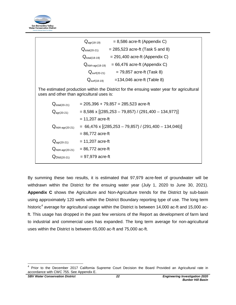

| $= 8,586$ acre-ft (Appendix C)<br>$Q_{\text{agr}(18-19)}$                                                                             |  |  |
|---------------------------------------------------------------------------------------------------------------------------------------|--|--|
| $= 285,523$ acre-ft (Task 5 and 8)<br>$\mathsf{Q}_{\mathsf{total}(20\text{-}21)}$                                                     |  |  |
| $= 291,400$ acre-ft (Appendix C)<br>$Q_{\text{total}(18-19)}$                                                                         |  |  |
| $= 66,476$ acre-ft (Appendix C)<br>$Q_{\text{non-agr(18-19)}}$                                                                        |  |  |
| $= 79,857$ acre-ft (Task 8)<br>$Q_{\text{surf}(20-21)}$                                                                               |  |  |
| $=134,046$ acre-ft (Table 8)<br>$\mathrm{Q}_\mathsf{surf(18\text{-}19)}$                                                              |  |  |
| The estimated production within the District for the ensuing water year for agricultural<br>uses and other than agricultural uses is: |  |  |
| $= 205,396 + 79,857 = 285,523$ acre-ft                                                                                                |  |  |
| $= 8,586 \times [(285,253 - 79,857) / (291,400 - 134,977)]$                                                                           |  |  |
| $= 11,207$ acre-ft                                                                                                                    |  |  |
| $= 66,476 \times [(285,253 - 79,857) / (291,400 - 134,046)]$                                                                          |  |  |
| $= 86,772$ acre-ft                                                                                                                    |  |  |
| $= 11,207$ acre-ft                                                                                                                    |  |  |
| $= 86,772$ acre-ft                                                                                                                    |  |  |
| $= 97,979$ acre-ft                                                                                                                    |  |  |
|                                                                                                                                       |  |  |

By summing these two results, it is estimated that 97,979 acre-feet of groundwater will be withdrawn within the District for the ensuing water year (July 1, 2020 to June 30, 2021). **Appendix C** shows the Agriculture and Non-Agriculture trends for the District by sub-basin using approximately 120 wells within the District Boundary reporting type of use. The long term historic<sup>[4](#page-25-0)</sup> average for agricultural usage within the District is between 14,000 ac-ft and 15,000 acft. This usage has dropped in the past few versions of the Report as development of farm land to industrial and commercial uses has expanded. The long term average for non-agricultural uses within the District is between 65,000 ac-ft and 75,000 ac-ft.

<span id="page-25-0"></span>Prior to the December 2017 California Supreme Court Decision the Board Provided an Agricultural rate in accordance with CWC 755. See Appendix E.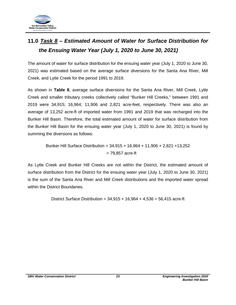

# <span id="page-26-0"></span>**11.0** *Task 8 – Estimated Amount of Water for Surface Distribution for the Ensuing Water Year (July 1, 2020 to June 30, 2021)*

The amount of water for surface distribution for the ensuing water year (July 1, 2020 to June 30, 2021) was estimated based on the average surface diversions for the Santa Ana River, Mill Creek, and Lytle Creek for the period 1991 to 2019.

As shown in **Table 8**, average surface diversions for the Santa Ana River, Mill Creek, Lytle Creek and smaller tributary creeks collectively called "Bunker Hill Creeks," between 1991 and 2019 were 34,915; 16,964; 11,906 and 2,821 acre-feet, respectively. There was also an average of 13,252 acre-ft of imported water from 1991 and 2019 that was recharged into the Bunker Hill Basin. Therefore, the total estimated amount of water for surface distribution from the Bunker Hill Basin for the ensuing water year (July 1, 2020 to June 30, 2021) is found by summing the diversions as follows:

Bunker Hill Surface Distribution = 34,915 + 16,964 + 11,906 + 2,821 +13,252 = 79,857 acre-ft

As Lytle Creek and Bunker Hill Creeks are not within the District, the estimated amount of surface distribution from the District for the ensuing water year (July 1, 2020 to June 30, 2021) is the sum of the Santa Ana River and Mill Creek distributions and the imported water spread within the District Boundaries.

District Surface Distribution =  $34,915 + 16,964 + 4,536 = 56,415$  acre-ft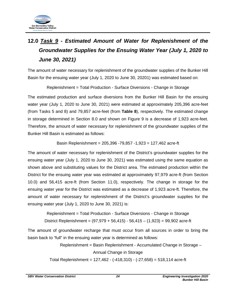

# <span id="page-27-0"></span>**12.0** *Task 9 - Estimated Amount of Water for Replenishment of the Groundwater Supplies for the Ensuing Water Year (July 1, 2020 to June 30, 2021)*

The amount of water necessary for replenishment of the groundwater supplies of the Bunker Hill Basin for the ensuing water year (July 1, 2020 to June 30, 20201) was estimated based on:

Replenishment = Total Production - Surface Diversions - Change in Storage

The estimated production and surface diversions from the Bunker Hill Basin for the ensuing water year (July 1, 2020 to June 30, 2021) were estimated at approximately 205,396 acre-feet (from Tasks 5 and 8) and 79,857 acre-feet (from **Table 8**), respectively. The estimated change in storage determined in Section 8.0 and shown on Figure 9 is a decrease of 1,923 acre-feet. Therefore, the amount of water necessary for replenishment of the groundwater supplies of the Bunker Hill Basin is estimated as follows:

Basin Replenishment = 205,396 -79,857 -1,923 = 127,462 acre-ft

The amount of water necessary for replenishment of the District's groundwater supplies for the ensuing water year (July 1, 2020 to June 30, 2021) was estimated using the same equation as shown above and substituting values for the District area. The estimated production within the District for the ensuing water year was estimated at approximately 97,979 acre-ft (from Section 10.0) and 56,415 acre-ft (from Section 11.0), respectively. The change in storage for the ensuing water year for the District was estimated as a decrease of 1,923 acre-ft. Therefore, the amount of water necessary for replenishment of the District's groundwater supplies for the ensuing water year (July 1, 2020 to June 30, 2021) is:

Replenishment = Total Production - Surface Diversions - Change in Storage District Replenishment = (97,979 + 56,415) - 56,415 – (1,923) = 99,902 acre-ft

The amount of groundwater recharge that must occur from all sources in order to bring the basin back to "full" in the ensuing water year is determined as follows:

> Replenishment = Basin Replenishment - Accumulated Change in Storage – Annual Change in Storage

Total Replenishment = 127,462 - (-418,310) - (-27,658) = 518,114 acre-ft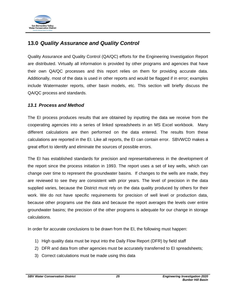

## <span id="page-28-0"></span>**13.0** *Quality Assurance and Quality Control*

Quality Assurance and Quality Control (QA/QC) efforts for the Engineering Investigation Report are distributed. Virtually all information is provided by other programs and agencies that have their own QA/QC processes and this report relies on them for providing accurate data. Additionally, most of the data is used in other reports and would be flagged if in error; examples include Watermaster reports, other basin models, etc. This section will briefly discuss the QA/QC process and standards.

## <span id="page-28-1"></span>*13.1 Process and Method*

The EI process produces results that are obtained by inputting the data we receive from the cooperating agencies into a series of linked spreadsheets in an MS Excel workbook. Many different calculations are then performed on the data entered. The results from these calculations are reported in the EI. Like all reports, the EI can contain error. SBVWCD makes a great effort to identify and eliminate the sources of possible errors.

The EI has established standards for precision and representativeness in the development of the report since the process initiation in 1993. The report uses a set of key wells, which can change over time to represent the groundwater basins. If changes to the wells are made, they are reviewed to see they are consistent with prior years. The level of precision in the data supplied varies, because the District must rely on the data quality produced by others for their work. We do not have specific requirements for precision of well level or production data, because other programs use the data and because the report averages the levels over entire groundwater basins; the precision of the other programs is adequate for our change in storage calculations.

In order for accurate conclusions to be drawn from the EI, the following must happen:

- 1) High quality data must be input into the Daily Flow Report (DFR) by field staff
- 2) DFR and data from other agencies must be accurately transferred to EI spreadsheets;
- 3) Correct calculations must be made using this data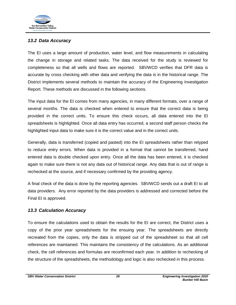

## <span id="page-29-0"></span>*13.2 Data Accuracy*

The EI uses a large amount of production, water level, and flow measurements in calculating the change in storage and related tasks. The data received for the study is reviewed for completeness so that all wells and flows are reported. SBVWCD verifies that DFR data is accurate by cross checking with other data and verifying the data is in the historical range. The District implements several methods to maintain the accuracy of the Engineering Investigation Report. These methods are discussed in the following sections.

The input data for the EI comes from many agencies, in many different formats, over a range of several months. The data is checked when entered to ensure that the correct data is being provided in the correct units. To ensure this check occurs, all data entered into the EI spreadsheets is highlighted. Once all data entry has occurred, a second staff person checks the highlighted input data to make sure it is the correct value and in the correct units.

Generally, data is transferred (copied and pasted) into the EI spreadsheets rather than retyped to reduce entry errors. When data is provided in a format that cannot be transferred, hand entered data is double checked upon entry. Once all the data has been entered, it is checked again to make sure there is not any data out of historical range. Any data that is out of range is rechecked at the source, and if necessary confirmed by the providing agency.

A final check of the data is done by the reporting agencies. SBVWCD sends out a draft EI to all data providers. Any error reported by the data providers is addressed and corrected before the Final EI is approved.

## <span id="page-29-1"></span>*13.3 Calculation Accuracy*

To ensure the calculations used to obtain the results for the EI are correct, the District uses a copy of the prior year spreadsheets for the ensuing year. The spreadsheets are directly recreated from the copies, only the data is stripped out of the spreadsheet so that all cell references are maintained. This maintains the consistency of the calculations. As an additional check, the cell references and formulas are reconfirmed each year. In addition to rechecking of the structure of the spreadsheets, the methodology and logic is also rechecked in this process.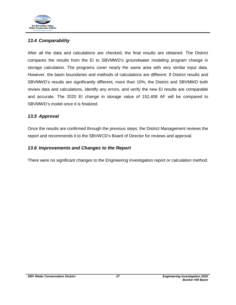

## <span id="page-30-0"></span>*13.4 Comparability*

After all the data and calculations are checked, the final results are obtained. The District compares the results from the EI to SBVMWD's groundwater modeling program change in storage calculation. The programs cover nearly the same area with very similar input data. However, the basin boundaries and methods of calculations are different. If District results and SBVMWD's results are significantly different, more than 10%, the District and SBVMWD both review data and calculations, identify any errors, and verify the new EI results are comparable and accurate. The 2020 EI change in storage value of 152,408 AF will be compared to SBVMWD's model once it is finalized.

## <span id="page-30-1"></span>*13.5 Approval*

Once the results are confirmed through the previous steps, the District Management reviews the report and recommends it to the SBVWCD's Board of Director for reviews and approval.

## <span id="page-30-2"></span>*13.6 Improvements and Changes to the Report*

There were no significant changes to the Engineering Investigation report or calculation method.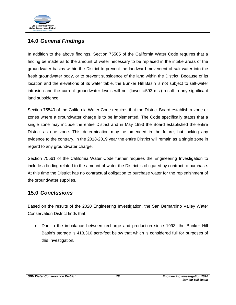

## <span id="page-31-0"></span>**14.0** *General Findings*

In addition to the above findings, Section 75505 of the California Water Code requires that a finding be made as to the amount of water necessary to be replaced in the intake areas of the groundwater basins within the District to prevent the landward movement of salt water into the fresh groundwater body, or to prevent subsidence of the land within the District. Because of its location and the elevations of its water table, the Bunker Hill Basin is not subject to salt-water intrusion and the current groundwater levels will not (lowest=593 msl) result in any significant land subsidence.

Section 75540 of the California Water Code requires that the District Board establish a zone or zones where a groundwater charge is to be implemented. The Code specifically states that a single zone may include the entire District and in May 1993 the Board established the entire District as one zone. This determination may be amended in the future, but lacking any evidence to the contrary, in the 2018-2019 year the entire District will remain as a single zone in regard to any groundwater charge.

Section 75561 of the California Water Code further requires the Engineering Investigation to include a finding related to the amount of water the District is obligated by contract to purchase. At this time the District has no contractual obligation to purchase water for the replenishment of the groundwater supplies.

## <span id="page-31-1"></span>**15.0** *Conclusions*

Based on the results of the 2020 Engineering Investigation, the San Bernardino Valley Water Conservation District finds that:

• Due to the imbalance between recharge and production since 1993, the Bunker Hill Basin's storage is 418,310 acre-feet below that which is considered full for purposes of this Investigation.